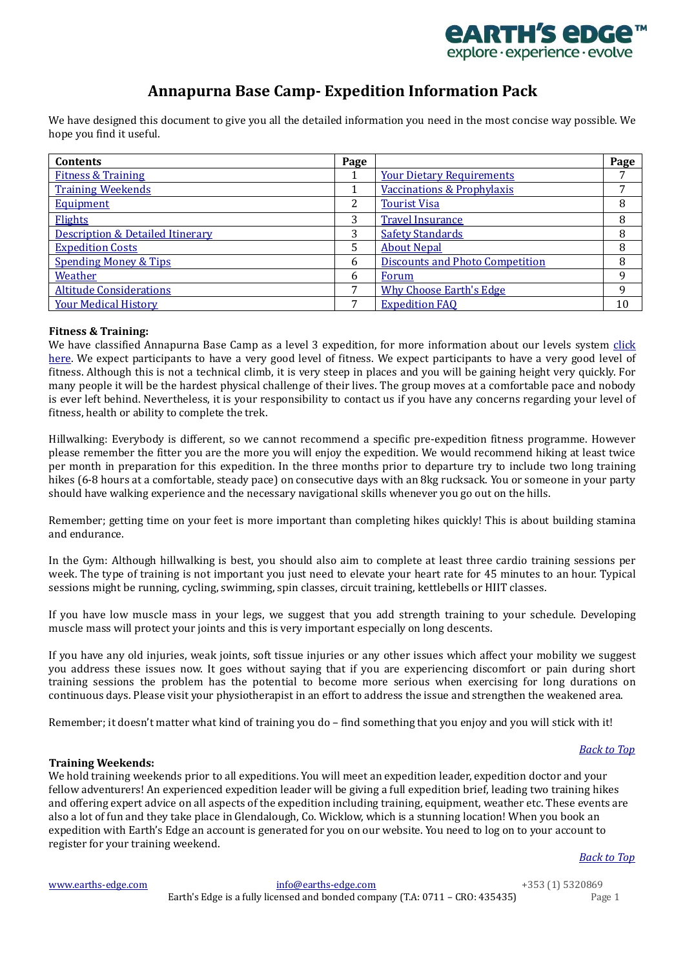

# **Annapurna Base Camp- Expedition Information Pack**

<span id="page-0-3"></span>We have designed this document to give you all the detailed information you need in the most concise way possible. We hope you find it useful.

| <b>Contents</b>                             | Page |                                        | Page |
|---------------------------------------------|------|----------------------------------------|------|
| <b>Fitness &amp; Training</b>               |      | <b>Your Dietary Requirements</b>       |      |
| <b>Training Weekends</b>                    |      | Vaccinations & Prophylaxis             | 7    |
| <b>Equipment</b>                            | 2    | <b>Tourist Visa</b>                    | 8    |
| Flights                                     | 3    | <b>Travel Insurance</b>                | 8    |
| <b>Description &amp; Detailed Itinerary</b> | 3    | <b>Safety Standards</b>                | 8    |
| <b>Expedition Costs</b>                     | 5    | <b>About Nepal</b>                     | 8    |
| <b>Spending Money &amp; Tips</b>            | 6    | <b>Discounts and Photo Competition</b> | 8    |
| Weather                                     | b    | Forum                                  | 9    |
| <b>Altitude Considerations</b>              | ⇁    | <b>Why Choose Earth's Edge</b>         | 9    |
| <b>Your Medical History</b>                 | –    | <b>Expedition FAQ</b>                  | 10   |

# <span id="page-0-0"></span>**Fitness & Training:**

We have classified Annapurna Base Camp as a level 3 expedition, for more information about our levels system [click](http://www.earths-edge.com/levels/)  [here.](http://www.earths-edge.com/levels/) We expect participants to have a very good level of fitness. We expect participants to have a very good level of fitness. Although this is not a technical climb, it is very steep in places and you will be gaining height very quickly. For many people it will be the hardest physical challenge of their lives. The group moves at a comfortable pace and nobody is ever left behind. Nevertheless, it is your responsibility to contact us if you have any concerns regarding your level of fitness, health or ability to complete the trek.

Hillwalking: Everybody is different, so we cannot recommend a specific pre-expedition fitness programme. However please remember the fitter you are the more you will enjoy the expedition. We would recommend hiking at least twice per month in preparation for this expedition. In the three months prior to departure try to include two long training hikes (6-8 hours at a comfortable, steady pace) on consecutive days with an 8kg rucksack. You or someone in your party should have walking experience and the necessary navigational skills whenever you go out on the hills.

Remember; getting time on your feet is more important than completing hikes quickly! This is about building stamina and endurance.

In the Gym: Although hillwalking is best, you should also aim to complete at least three cardio training sessions per week. The type of training is not important you just need to elevate your heart rate for 45 minutes to an hour. Typical sessions might be running, cycling, swimming, spin classes, circuit training, kettlebells or HIIT classes.

If you have low muscle mass in your legs, we suggest that you add strength training to your schedule. Developing muscle mass will protect your joints and this is very important especially on long descents.

If you have any old injuries, weak joints, soft tissue injuries or any other issues which affect your mobility we suggest you address these issues now. It goes without saying that if you are experiencing discomfort or pain during short training sessions the problem has the potential to become more serious when exercising for long durations on continuous days. Please visit your physiotherapist in an effort to address the issue and strengthen the weakened area.

Remember; it doesn't matter what kind of training you do – find something that you enjoy and you will stick with it!

# <span id="page-0-2"></span><span id="page-0-1"></span>**Training Weekends:**

We hold training weekends prior to all expeditions. You will meet an expedition leader, expedition doctor and your fellow adventurers! An experienced expedition leader will be giving a full expedition brief, leading two training hikes and offering expert advice on all aspects of the expedition including training, equipment, weather etc. These events are also a lot of fun and they take place in Glendalough, Co. Wicklow, which is a stunning location! When you book an expedition with Earth's Edge an account is generated for you on our website. You need to log on to your account to register for your training weekend.

*[Back to Top](#page-0-3)*

| www.earths-edge.com | info@earths-edge.com                                                          | +353 (1) 5320869 |
|---------------------|-------------------------------------------------------------------------------|------------------|
|                     | Earth's Edge is a fully licensed and bonded company (T.A: 0711 – CRO: 435435) | Page 1           |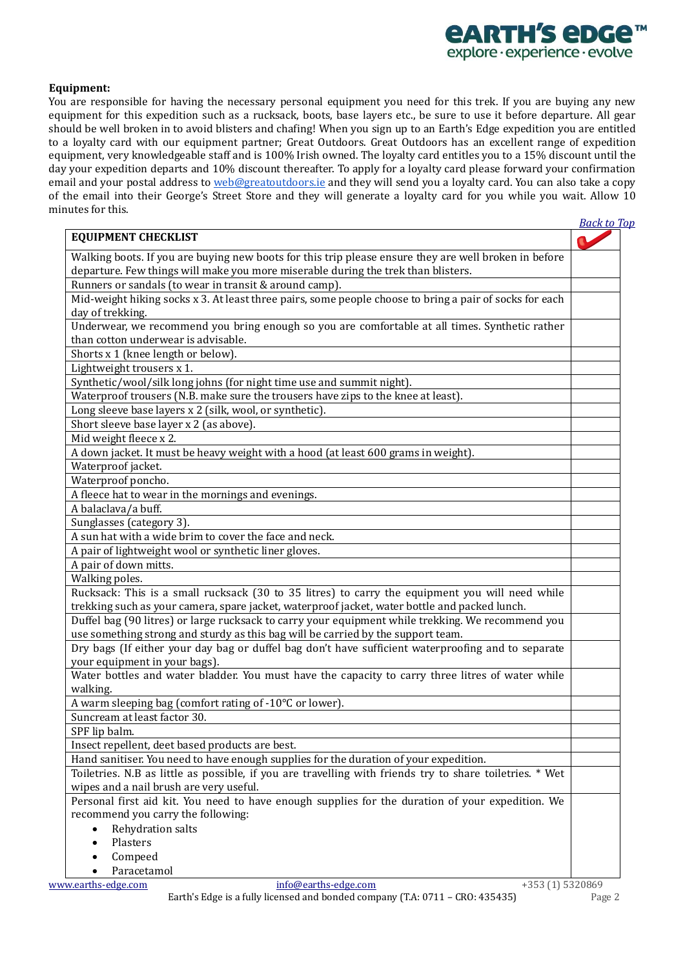# *<u>EARTH'S EDGE</u>* explore · experience · evolve

# **Equipment:**

You are responsible for having the necessary personal equipment you need for this trek. If you are buying any new equipment for this expedition such as a rucksack, boots, base layers etc., be sure to use it before departure. All gear should be well broken in to avoid blisters and chafing! When you sign up to an Earth's Edge expedition you are entitled to a loyalty card with our equipment partner; Great Outdoors. Great Outdoors has an excellent range of expedition equipment, very knowledgeable staff and is 100% Irish owned. The loyalty card entitles you to a 15% discount until the day your expedition departs and 10% discount thereafter. To apply for a loyalty card please forward your confirmation email and your postal address to [web@greatoutdoors.ie](mailto:web@greatoutdoors.ie) and they will send you a loyalty card. You can also take a copy of the email into their George's Street Store and they will generate a loyalty card for you while you wait. Allow 10 minutes for this. *[Back to Top](#page-0-3)*

|                                                                                                          | <u>риск го п</u> |
|----------------------------------------------------------------------------------------------------------|------------------|
| <b>EQUIPMENT CHECKLIST</b>                                                                               |                  |
| Walking boots. If you are buying new boots for this trip please ensure they are well broken in before    |                  |
| departure. Few things will make you more miserable during the trek than blisters.                        |                  |
| Runners or sandals (to wear in transit & around camp).                                                   |                  |
| Mid-weight hiking socks x 3. At least three pairs, some people choose to bring a pair of socks for each  |                  |
| day of trekking.                                                                                         |                  |
| Underwear, we recommend you bring enough so you are comfortable at all times. Synthetic rather           |                  |
| than cotton underwear is advisable.                                                                      |                  |
| Shorts x 1 (knee length or below).                                                                       |                  |
| Lightweight trousers x 1.                                                                                |                  |
| Synthetic/wool/silk long johns (for night time use and summit night).                                    |                  |
| Waterproof trousers (N.B. make sure the trousers have zips to the knee at least).                        |                  |
| Long sleeve base layers x 2 (silk, wool, or synthetic).                                                  |                  |
| Short sleeve base layer x 2 (as above).                                                                  |                  |
| Mid weight fleece x 2.                                                                                   |                  |
| A down jacket. It must be heavy weight with a hood (at least 600 grams in weight).                       |                  |
| Waterproof jacket.                                                                                       |                  |
| Waterproof poncho.                                                                                       |                  |
| A fleece hat to wear in the mornings and evenings.                                                       |                  |
| A balaclava/a buff.                                                                                      |                  |
| Sunglasses (category 3).                                                                                 |                  |
| A sun hat with a wide brim to cover the face and neck.                                                   |                  |
| A pair of lightweight wool or synthetic liner gloves.                                                    |                  |
| A pair of down mitts.                                                                                    |                  |
| Walking poles.                                                                                           |                  |
| Rucksack: This is a small rucksack (30 to 35 litres) to carry the equipment you will need while          |                  |
| trekking such as your camera, spare jacket, waterproof jacket, water bottle and packed lunch.            |                  |
| Duffel bag (90 litres) or large rucksack to carry your equipment while trekking. We recommend you        |                  |
| use something strong and sturdy as this bag will be carried by the support team.                         |                  |
| Dry bags (If either your day bag or duffel bag don't have sufficient waterproofing and to separate       |                  |
| your equipment in your bags).                                                                            |                  |
| Water bottles and water bladder. You must have the capacity to carry three litres of water while         |                  |
| walking.                                                                                                 |                  |
| A warm sleeping bag (comfort rating of -10°C or lower).                                                  |                  |
| Suncream at least factor 30.                                                                             |                  |
| SPF lip balm.                                                                                            |                  |
| Insect repellent, deet based products are best.                                                          |                  |
| Hand sanitiser. You need to have enough supplies for the duration of your expedition.                    |                  |
| Toiletries. N.B as little as possible, if you are travelling with friends try to share toiletries. * Wet |                  |
| wipes and a nail brush are very useful.                                                                  |                  |
| Personal first aid kit. You need to have enough supplies for the duration of your expedition. We         |                  |
| recommend you carry the following:                                                                       |                  |
| Rehydration salts                                                                                        |                  |
| Plasters                                                                                                 |                  |
|                                                                                                          |                  |
| Compeed<br>Paracetamol                                                                                   |                  |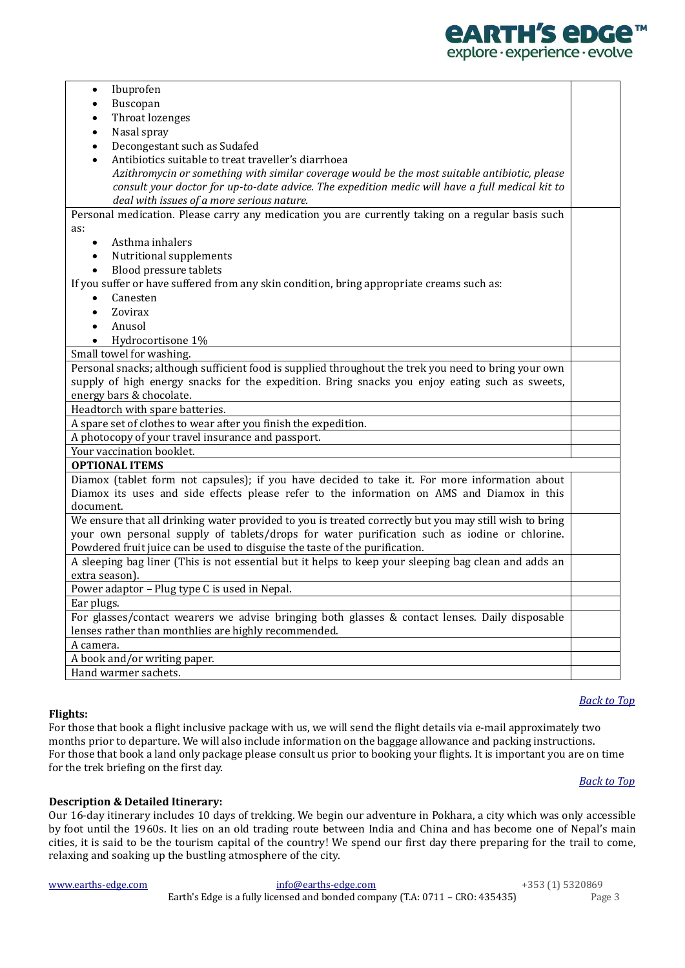

| Ibuprofen<br>$\bullet$                                                                                 |  |
|--------------------------------------------------------------------------------------------------------|--|
| Buscopan<br>$\bullet$                                                                                  |  |
| Throat lozenges<br>$\bullet$                                                                           |  |
| Nasal spray<br>$\bullet$                                                                               |  |
| Decongestant such as Sudafed<br>$\bullet$                                                              |  |
| Antibiotics suitable to treat traveller's diarrhoea                                                    |  |
| Azithromycin or something with similar coverage would be the most suitable antibiotic, please          |  |
| consult your doctor for up-to-date advice. The expedition medic will have a full medical kit to        |  |
| deal with issues of a more serious nature.                                                             |  |
| Personal medication. Please carry any medication you are currently taking on a regular basis such      |  |
| as:                                                                                                    |  |
| Asthma inhalers<br>$\bullet$                                                                           |  |
| Nutritional supplements<br>$\bullet$                                                                   |  |
| Blood pressure tablets<br>$\bullet$                                                                    |  |
| If you suffer or have suffered from any skin condition, bring appropriate creams such as:              |  |
| Canesten                                                                                               |  |
| Zovirax<br>$\bullet$                                                                                   |  |
| Anusol<br>$\bullet$                                                                                    |  |
| Hydrocortisone 1%<br>$\bullet$                                                                         |  |
| Small towel for washing.                                                                               |  |
| Personal snacks; although sufficient food is supplied throughout the trek you need to bring your own   |  |
| supply of high energy snacks for the expedition. Bring snacks you enjoy eating such as sweets,         |  |
| energy bars & chocolate.                                                                               |  |
| Headtorch with spare batteries.                                                                        |  |
| A spare set of clothes to wear after you finish the expedition.                                        |  |
| A photocopy of your travel insurance and passport.                                                     |  |
| Your vaccination booklet.                                                                              |  |
| <b>OPTIONAL ITEMS</b>                                                                                  |  |
| Diamox (tablet form not capsules); if you have decided to take it. For more information about          |  |
| Diamox its uses and side effects please refer to the information on AMS and Diamox in this             |  |
| document.                                                                                              |  |
| We ensure that all drinking water provided to you is treated correctly but you may still wish to bring |  |
| your own personal supply of tablets/drops for water purification such as iodine or chlorine.           |  |
| Powdered fruit juice can be used to disguise the taste of the purification.                            |  |
| A sleeping bag liner (This is not essential but it helps to keep your sleeping bag clean and adds an   |  |
| extra season).                                                                                         |  |
| Power adaptor - Plug type C is used in Nepal.                                                          |  |
| Ear plugs.                                                                                             |  |
| For glasses/contact wearers we advise bringing both glasses & contact lenses. Daily disposable         |  |
| lenses rather than monthlies are highly recommended.                                                   |  |
| A camera.                                                                                              |  |
| A book and/or writing paper.                                                                           |  |
| Hand warmer sachets.                                                                                   |  |

# <span id="page-2-1"></span><span id="page-2-0"></span>**Flights:**

For those that book a flight inclusive package with us, we will send the flight details via e-mail approximately two months prior to departure. We will also include information on the baggage allowance and packing instructions. For those that book a land only package please consult us prior to booking your flights. It is important you are on time for the trek briefing on the first day.

#### *[Back to Top](#page-0-3)*

*[Back to Top](#page-0-3)*

# **Description & Detailed Itinerary:**

Our 16-day itinerary includes 10 days of trekking. We begin our adventure in Pokhara, a city which was only accessible by foot until the 1960s. It lies on an old trading route between India and China and has become one of Nepal's main cities, it is said to be the tourism capital of the country! We spend our first day there preparing for the trail to come, relaxing and soaking up the bustling atmosphere of the city.

| www.earths-edge.com | info@earths-edge.com                                                          | +353 (1) 5320869 |
|---------------------|-------------------------------------------------------------------------------|------------------|
|                     | Earth's Edge is a fully licensed and bonded company (T.A: 0711 – CRO: 435435) | Page 3           |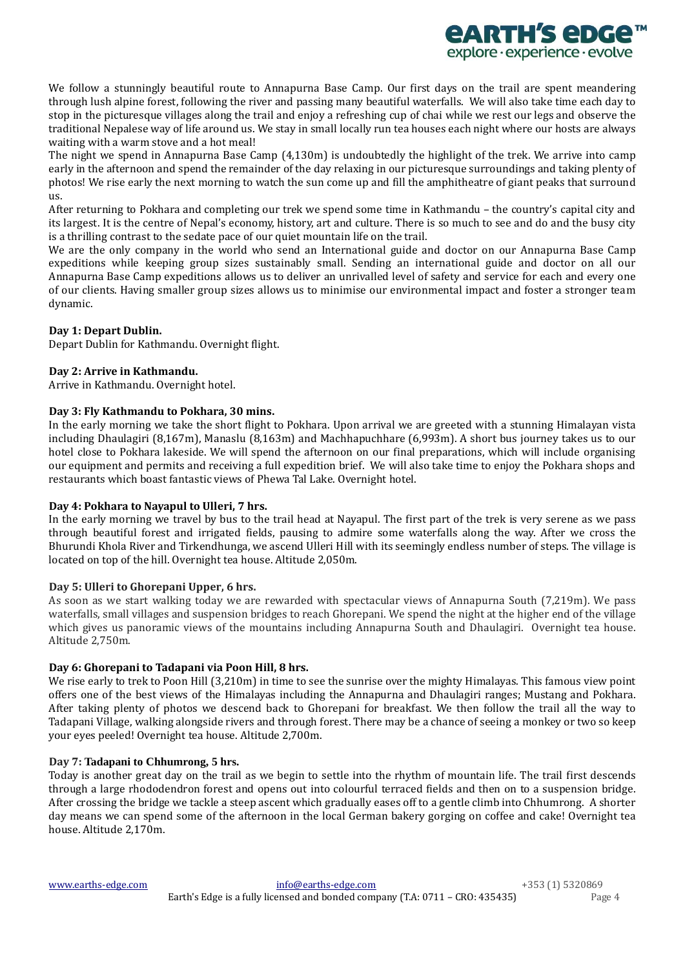

We follow a stunningly beautiful route to Annapurna Base Camp. Our first days on the trail are spent meandering through lush alpine forest, following the river and passing many beautiful waterfalls. We will also take time each day to stop in the picturesque villages along the trail and enjoy a refreshing cup of chai while we rest our legs and observe the traditional Nepalese way of life around us. We stay in small locally run tea houses each night where our hosts are always waiting with a warm stove and a hot meal!

The night we spend in Annapurna Base Camp (4,130m) is undoubtedly the highlight of the trek. We arrive into camp early in the afternoon and spend the remainder of the day relaxing in our picturesque surroundings and taking plenty of photos! We rise early the next morning to watch the sun come up and fill the amphitheatre of giant peaks that surround us.

After returning to Pokhara and completing our trek we spend some time in Kathmandu – the country's capital city and its largest. It is the centre of Nepal's economy, history, art and culture. There is so much to see and do and the busy city is a thrilling contrast to the sedate pace of our quiet mountain life on the trail.

We are the only company in the world who send an International guide and doctor on our Annapurna Base Camp expeditions while keeping group sizes sustainably small. Sending an international guide and doctor on all our Annapurna Base Camp expeditions allows us to deliver an unrivalled level of safety and service for each and every one of our clients. Having smaller group sizes allows us to minimise our environmental impact and foster a stronger team dynamic.

# **Day 1: Depart Dublin.**

Depart Dublin for Kathmandu. Overnight flight.

# **Day 2: Arrive in Kathmandu.**

Arrive in Kathmandu. Overnight hotel.

# **Day 3: Fly Kathmandu to Pokhara, 30 mins.**

In the early morning we take the short flight to Pokhara. Upon arrival we are greeted with a stunning Himalayan vista including Dhaulagiri (8,167m), Manaslu (8,163m) and Machhapuchhare (6,993m). A short bus journey takes us to our hotel close to Pokhara lakeside. We will spend the afternoon on our final preparations, which will include organising our equipment and permits and receiving a full expedition brief. We will also take time to enjoy the Pokhara shops and restaurants which boast fantastic views of Phewa Tal Lake. Overnight hotel.

# **Day 4: Pokhara to Nayapul to Ulleri, 7 hrs.**

In the early morning we travel by bus to the trail head at Nayapul. The first part of the trek is very serene as we pass through beautiful forest and irrigated fields, pausing to admire some waterfalls along the way. After we cross the Bhurundi Khola River and Tirkendhunga, we ascend Ulleri Hill with its seemingly endless number of steps. The village is located on top of the hill. Overnight tea house. Altitude 2,050m.

# **Day 5: Ulleri to Ghorepani Upper, 6 hrs.**

As soon as we start walking today we are rewarded with spectacular views of Annapurna South (7,219m). We pass waterfalls, small villages and suspension bridges to reach Ghorepani. We spend the night at the higher end of the village which gives us panoramic views of the mountains including Annapurna South and Dhaulagiri. Overnight tea house. Altitude 2,750m.

# **Day 6: Ghorepani to Tadapani via Poon Hill, 8 hrs.**

We rise early to trek to Poon Hill (3,210m) in time to see the sunrise over the mighty Himalayas. This famous view point offers one of the best views of the Himalayas including the Annapurna and Dhaulagiri ranges; Mustang and Pokhara. After taking plenty of photos we descend back to Ghorepani for breakfast. We then follow the trail all the way to Tadapani Village, walking alongside rivers and through forest. There may be a chance of seeing a monkey or two so keep your eyes peeled! Overnight tea house. Altitude 2,700m.

# **Day 7: Tadapani to Chhumrong, 5 hrs.**

Today is another great day on the trail as we begin to settle into the rhythm of mountain life. The trail first descends through a large rhododendron forest and opens out into colourful terraced fields and then on to a suspension bridge. After crossing the bridge we tackle a steep ascent which gradually eases off to a gentle climb into Chhumrong. A shorter day means we can spend some of the afternoon in the local German bakery gorging on coffee and cake! Overnight tea house. Altitude 2,170m.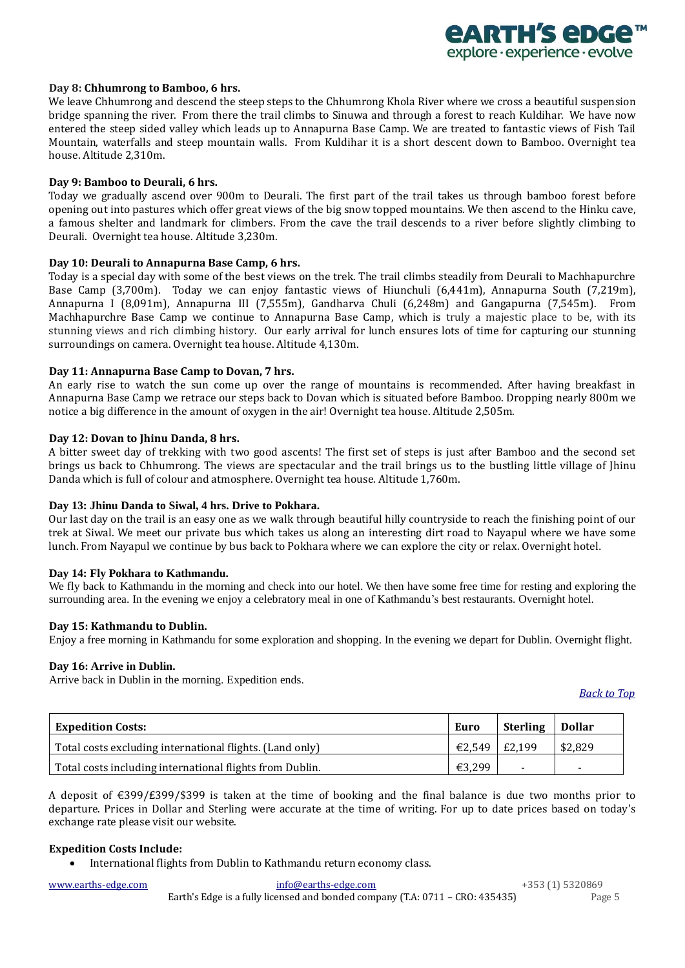

#### **Day 8: Chhumrong to Bamboo, 6 hrs.**

We leave Chhumrong and descend the steep steps to the Chhumrong Khola River where we cross a beautiful suspension bridge spanning the river. From there the trail climbs to Sinuwa and through a forest to reach Kuldihar. We have now entered the steep sided valley which leads up to Annapurna Base Camp. We are treated to fantastic views of Fish Tail Mountain, waterfalls and steep mountain walls. From Kuldihar it is a short descent down to Bamboo. Overnight tea house. Altitude 2,310m.

## **Day 9: Bamboo to Deurali, 6 hrs.**

Today we gradually ascend over 900m to Deurali. The first part of the trail takes us through bamboo forest before opening out into pastures which offer great views of the big snow topped mountains. We then ascend to the Hinku cave, a famous shelter and landmark for climbers. From the cave the trail descends to a river before slightly climbing to Deurali. Overnight tea house. Altitude 3,230m.

### **Day 10: Deurali to Annapurna Base Camp, 6 hrs.**

Today is a special day with some of the best views on the trek. The trail climbs steadily from Deurali to Machhapurchre Base Camp (3,700m). Today we can enjoy fantastic views of Hiunchuli (6,441m), Annapurna South (7,219m), Annapurna I (8,091m), Annapurna III (7,555m), Gandharva Chuli (6,248m) and Gangapurna (7,545m). From Machhapurchre Base Camp we continue to Annapurna Base Camp, which is truly a majestic place to be, with its stunning views and rich climbing history. Our early arrival for lunch ensures lots of time for capturing our stunning surroundings on camera. Overnight tea house. Altitude 4,130m.

### **Day 11: Annapurna Base Camp to Dovan, 7 hrs.**

An early rise to watch the sun come up over the range of mountains is recommended. After having breakfast in Annapurna Base Camp we retrace our steps back to Dovan which is situated before Bamboo. Dropping nearly 800m we notice a big difference in the amount of oxygen in the air! Overnight tea house. Altitude 2,505m.

### **Day 12: Dovan to Jhinu Danda, 8 hrs.**

A bitter sweet day of trekking with two good ascents! The first set of steps is just after Bamboo and the second set brings us back to Chhumrong. The views are spectacular and the trail brings us to the bustling little village of Jhinu Danda which is full of colour and atmosphere. Overnight tea house. Altitude 1,760m.

#### **Day 13: Jhinu Danda to Siwal, 4 hrs. Drive to Pokhara.**

Our last day on the trail is an easy one as we walk through beautiful hilly countryside to reach the finishing point of our trek at Siwal. We meet our private bus which takes us along an interesting dirt road to Nayapul where we have some lunch. From Nayapul we continue by bus back to Pokhara where we can explore the city or relax. Overnight hotel.

# **Day 14: Fly Pokhara to Kathmandu.**

We fly back to Kathmandu in the morning and check into our hotel. We then have some free time for resting and exploring the surrounding area. In the evening we enjoy a celebratory meal in one of Kathmandu's best restaurants. Overnight hotel.

#### **Day 15: Kathmandu to Dublin.**

Enjoy a free morning in Kathmandu for some exploration and shopping. In the evening we depart for Dublin. Overnight flight.

#### **Day 16: Arrive in Dublin.**

Arrive back in Dublin in the morning. Expedition ends.

*[Back to Top](#page-0-3)*

<span id="page-4-0"></span>

| <b>Expedition Costs:</b>                                 | <b>Euro</b>   | <b>Sterling</b> | <b>Dollar</b> |
|----------------------------------------------------------|---------------|-----------------|---------------|
| Total costs excluding international flights. (Land only) | €2,549 E2,199 |                 | \$2,829       |
| Total costs including international flights from Dublin. | $€3,299$      |                 | ۰.            |

A deposit of €399/£399/\$399 is taken at the time of booking and the final balance is due two months prior to departure. Prices in Dollar and Sterling were accurate at the time of writing. For up to date prices based on today's exchange rate please visit our website.

## **Expedition Costs Include:**

• International flights from Dublin to Kathmandu return economy class.

| www.earths-edge.com_ | info@earths-edge.com                                                          | +353 (1) 5320869 |
|----------------------|-------------------------------------------------------------------------------|------------------|
|                      | Earth's Edge is a fully licensed and bonded company (T.A: 0711 – CRO: 435435) | Page 5           |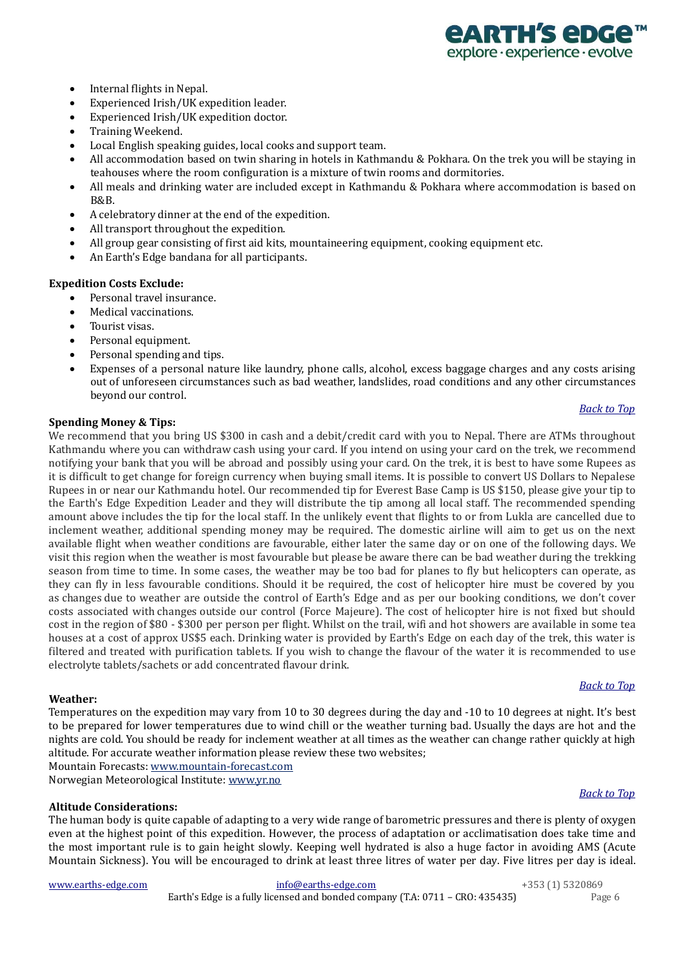

- Internal flights in Nepal.
- Experienced Irish/UK expedition leader.
- Experienced Irish/UK expedition doctor.
- Training Weekend.
- Local English speaking guides, local cooks and support team.
- All accommodation based on twin sharing in hotels in Kathmandu & Pokhara. On the trek you will be staying in teahouses where the room configuration is a mixture of twin rooms and dormitories.
- All meals and drinking water are included except in Kathmandu & Pokhara where accommodation is based on B&B.
- A celebratory dinner at the end of the expedition.
- All transport throughout the expedition.
- All group gear consisting of first aid kits, mountaineering equipment, cooking equipment etc.
- An Earth's Edge bandana for all participants.

## **Expedition Costs Exclude:**

- Personal travel insurance.
- Medical vaccinations.
- Tourist visas.
- Personal equipment.
- Personal spending and tips.
- Expenses of a personal nature like laundry, phone calls, alcohol, excess baggage charges and any costs arising out of unforeseen circumstances such as bad weather, landslides, road conditions and any other circumstances beyond our control.

### <span id="page-5-0"></span>**Spending Money & Tips:**

We recommend that you bring US \$300 in cash and a debit/credit card with you to Nepal. There are ATMs throughout Kathmandu where you can withdraw cash using your card. If you intend on using your card on the trek, we recommend notifying your bank that you will be abroad and possibly using your card. On the trek, it is best to have some Rupees as it is difficult to get change for foreign currency when buying small items. It is possible to convert US Dollars to Nepalese Rupees in or near our Kathmandu hotel. Our recommended tip for Everest Base Camp is US \$150, please give your tip to the Earth's Edge Expedition Leader and they will distribute the tip among all local staff. The recommended spending amount above includes the tip for the local staff. In the unlikely event that flights to or from Lukla are cancelled due to inclement weather, additional spending money may be required. The domestic airline will aim to get us on the next available flight when weather conditions are favourable, either later the same day or on one of the following days. We visit this region when the weather is most favourable but please be aware there can be bad weather during the trekking season from time to time. In some cases, the weather may be too bad for planes to fly but helicopters can operate, as they can fly in less favourable conditions. Should it be required, the cost of helicopter hire must be covered by you as changes due to weather are outside the control of Earth's Edge and as per our booking conditions, we don't cover costs associated with changes outside our control (Force Majeure). The cost of helicopter hire is not fixed but should cost in the region of \$80 - \$300 per person per flight. Whilst on the trail, wifi and hot showers are available in some tea houses at a cost of approx US\$5 each. Drinking water is provided by Earth's Edge on each day of the trek, this water is filtered and treated with purification tablets. If you wish to change the flavour of the water it is recommended to use electrolyte tablets/sachets or add concentrated flavour drink.

#### <span id="page-5-1"></span>**Weather:**

Temperatures on the expedition may vary from 10 to 30 degrees during the day and -10 to 10 degrees at night. It's best to be prepared for lower temperatures due to wind chill or the weather turning bad. Usually the days are hot and the nights are cold. You should be ready for inclement weather at all times as the weather can change rather quickly at high altitude. For accurate weather information please review these two websites; Mountain Forecasts[: www.mountain-forecast.com](http://www.mountain-forecast.com/) 

Norwegian Meteorological Institute[: www.yr.no](http://www.yr.no/)

#### <span id="page-5-2"></span>**Altitude Considerations:**

The human body is quite capable of adapting to a very wide range of barometric pressures and there is plenty of oxygen even at the highest point of this expedition. However, the process of adaptation or acclimatisation does take time and the most important rule is to gain height slowly. Keeping well hydrated is also a huge factor in avoiding AMS (Acute Mountain Sickness). You will be encouraged to drink at least three litres of water per day. Five litres per day is ideal.

[www.earths-edge.com](http://www.earths-edge.com/) [info@earths-edge.com](mailto:info@earths-edge.com) +353 (1) 5320869 Earth's Edge is a fully licensed and bonded company (T.A: 0711 – CRO: 435435) Page 6

# *[Back to Top](#page-0-3)*

*[Back to Top](#page-0-3)*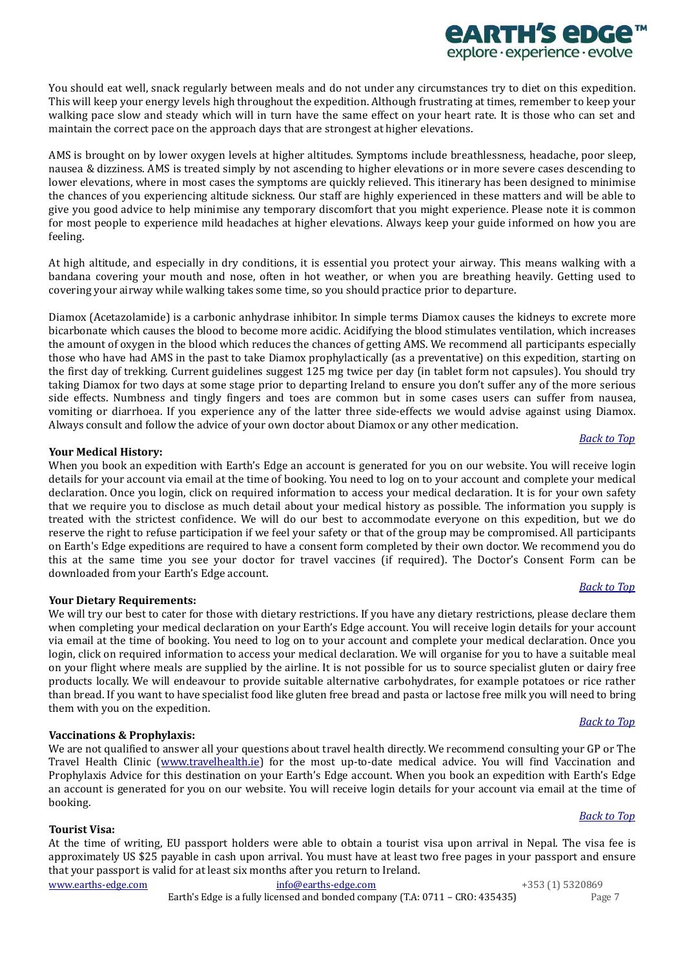You should eat well, snack regularly between meals and do not under any circumstances try to diet on this expedition. This will keep your energy levels high throughout the expedition. Although frustrating at times, remember to keep your walking pace slow and steady which will in turn have the same effect on your heart rate. It is those who can set and maintain the correct pace on the approach days that are strongest at higher elevations.

AMS is brought on by lower oxygen levels at higher altitudes. Symptoms include breathlessness, headache, poor sleep, nausea & dizziness. AMS is treated simply by not ascending to higher elevations or in more severe cases descending to lower elevations, where in most cases the symptoms are quickly relieved. This itinerary has been designed to minimise the chances of you experiencing altitude sickness. Our staff are highly experienced in these matters and will be able to give you good advice to help minimise any temporary discomfort that you might experience. Please note it is common for most people to experience mild headaches at higher elevations. Always keep your guide informed on how you are feeling.

At high altitude, and especially in dry conditions, it is essential you protect your airway. This means walking with a bandana covering your mouth and nose, often in hot weather, or when you are breathing heavily. Getting used to covering your airway while walking takes some time, so you should practice prior to departure.

Diamox (Acetazolamide) is a carbonic anhydrase inhibitor. In simple terms Diamox causes the kidneys to excrete more bicarbonate which causes the blood to become more acidic. Acidifying the blood stimulates ventilation, which increases the amount of oxygen in the blood which reduces the chances of getting AMS. We recommend all participants especially those who have had AMS in the past to take Diamox prophylactically (as a preventative) on this expedition, starting on the first day of trekking. Current guidelines suggest 125 mg twice per day (in tablet form not capsules). You should try taking Diamox for two days at some stage prior to departing Ireland to ensure you don't suffer any of the more serious side effects. Numbness and tingly fingers and toes are common but in some cases users can suffer from nausea, vomiting or diarrhoea. If you experience any of the latter three side-effects we would advise against using Diamox. Always consult and follow the advice of your own doctor about Diamox or any other medication.

# <span id="page-6-3"></span>**Your Medical History:**

When you book an expedition with Earth's Edge an account is generated for you on our website. You will receive login details for your account via email at the time of booking. You need to log on to your account and complete your medical declaration. Once you login, click on required information to access your medical declaration. It is for your own safety that we require you to disclose as much detail about your medical history as possible. The information you supply is treated with the strictest confidence. We will do our best to accommodate everyone on this expedition, but we do reserve the right to refuse participation if we feel your safety or that of the group may be compromised. All participants on Earth's Edge expeditions are required to have a consent form completed by their own doctor. We recommend you do this at the same time you see your doctor for travel vaccines (if required). The Doctor's Consent Form can be downloaded from your Earth's Edge account.

# <span id="page-6-0"></span>**Your Dietary Requirements:**

We will try our best to cater for those with dietary restrictions. If you have any dietary restrictions, please declare them when completing your medical declaration on your Earth's Edge account. You will receive login details for your account via email at the time of booking. You need to log on to your account and complete your medical declaration. Once you login, click on required information to access your medical declaration. We will organise for you to have a suitable meal on your flight where meals are supplied by the airline. It is not possible for us to source specialist gluten or dairy free products locally. We will endeavour to provide suitable alternative carbohydrates, for example potatoes or rice rather than bread. If you want to have specialist food like gluten free bread and pasta or lactose free milk you will need to bring them with you on the expedition.

# <span id="page-6-1"></span>**Vaccinations & Prophylaxis:**

We are not qualified to answer all your questions about travel health directly. We recommend consulting your GP or The Travel Health Clinic [\(www.travelhealth.ie\)](http://www.travelhealth.ie/) for the most up-to-date medical advice. You will find Vaccination and Prophylaxis Advice for this destination on your Earth's Edge account. When you book an expedition with Earth's Edge an account is generated for you on our website. You will receive login details for your account via email at the time of booking.

# <span id="page-6-2"></span>**Tourist Visa:**

[www.earths-edge.com](http://www.earths-edge.com/) [info@earths-edge.com](mailto:info@earths-edge.com) +353 (1) 5320869 At the time of writing, EU passport holders were able to obtain a tourist visa upon arrival in Nepal. The visa fee is approximately US \$25 payable in cash upon arrival. You must have at least two free pages in your passport and ensure that your passport is valid for at least six months after you return to Ireland.

Earth's Edge is a fully licensed and bonded company (T.A: 0711 – CRO: 435435) Page 7

# *[Back to Top](#page-0-3)*

*[Back to](#page-0-3) Top*

# *[Back to Top](#page-0-3)*

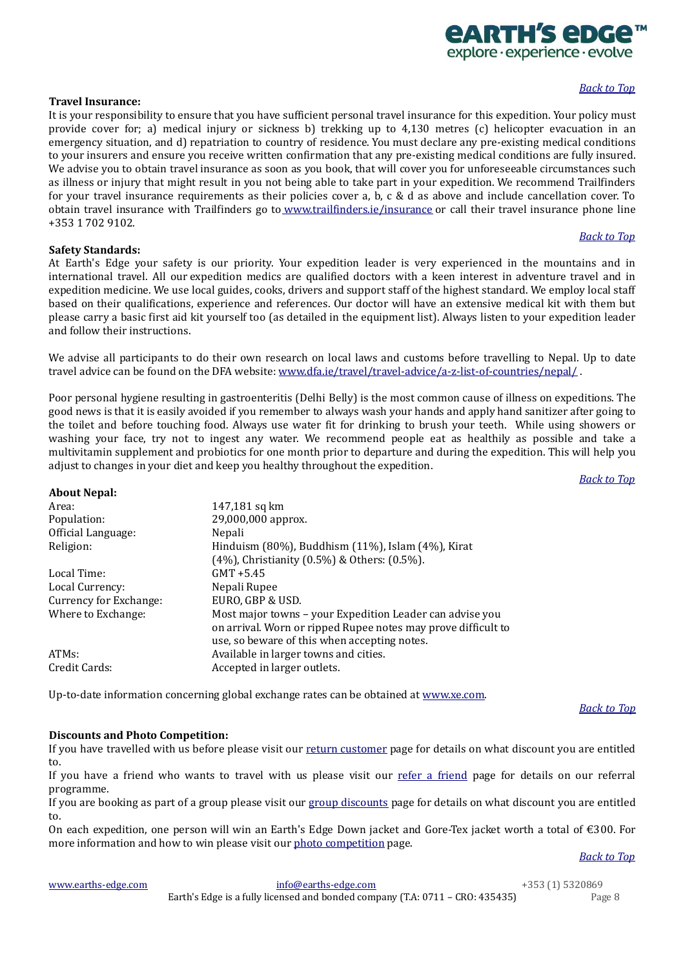#### <span id="page-7-0"></span>**Travel Insurance:**

It is your responsibility to ensure that you have sufficient personal travel insurance for this expedition. Your policy must provide cover for; a) medical injury or sickness b) trekking up to 4,130 metres (c) helicopter evacuation in an emergency situation, and d) repatriation to country of residence. You must declare any pre-existing medical conditions to your insurers and ensure you receive written confirmation that any pre-existing medical conditions are fully insured. We advise you to obtain travel insurance as soon as you book, that will cover you for unforeseeable circumstances such as illness or injury that might result in you not being able to take part in your expedition. We recommend Trailfinders for your travel insurance requirements as their policies cover a, b, c & d as above and include cancellation cover. To obtain travel insurance with Trailfinders go to <www.trailfinders.ie/insurance> or call their travel insurance phone line +353 1 702 9102.

#### <span id="page-7-1"></span>**Safety Standards:**

<span id="page-7-2"></span>**About Nepal:**

At Earth's Edge your safety is our priority. Your expedition leader is very experienced in the mountains and in international travel. All our expedition medics are qualified doctors with a keen interest in adventure travel and in expedition medicine. We use local guides, cooks, drivers and support staff of the highest standard. We employ local staff based on their qualifications, experience and references. Our doctor will have an extensive medical kit with them but please carry a basic first aid kit yourself too (as detailed in the equipment list). Always listen to your expedition leader and follow their instructions.

We advise all participants to do their own research on local laws and customs before travelling to Nepal. Up to date travel advice can be found on the DFA website: [www.dfa.ie/travel/travel-advice/a-z-list-of-countries/nepal/](http://www.dfa.ie/travel/travel-advice/a-z-list-of-countries/nepal/) .

Poor personal hygiene resulting in gastroenteritis (Delhi Belly) is the most common cause of illness on expeditions. The good news is that it is easily avoided if you remember to always wash your hands and apply hand sanitizer after going to the toilet and before touching food. Always use water fit for drinking to brush your teeth. While using showers or washing your face, try not to ingest any water. We recommend people eat as healthily as possible and take a multivitamin supplement and probiotics for one month prior to departure and during the expedition. This will help you adjust to changes in your diet and keep you healthy throughout the expedition.

#### *[Back to Top](#page-0-3)*

| 147,181 sq km                                                 |
|---------------------------------------------------------------|
| 29,000,000 approx.                                            |
| Nepali                                                        |
| Hinduism (80%), Buddhism (11%), Islam (4%), Kirat             |
| (4%), Christianity (0.5%) & Others: (0.5%).                   |
| $GMT + 5.45$                                                  |
| Nepali Rupee                                                  |
| EURO, GBP & USD.                                              |
| Most major towns – your Expedition Leader can advise you      |
| on arrival. Worn or ripped Rupee notes may prove difficult to |
| use, so beware of this when accepting notes.                  |
| Available in larger towns and cities.                         |
| Accepted in larger outlets.                                   |
|                                                               |

Up-to-date information concerning global exchange rates can be obtained at [www.xe.com.](http://www.xe.com/) 

#### *[Back to Top](#page-0-3)*

# <span id="page-7-3"></span>**Discounts and Photo Competition:**

If you have travelled with us before please visit our [return customer](https://www.earths-edge.com/return-customers/) page for details on what discount you are entitled to.

If you have a friend who wants to travel with us please visit our [refer a](https://www.earths-edge.com/refer-a-friend/) friend page for details on our referral programme.

If you are booking as part of a group please visit ou[r group discounts](https://www.earths-edge.com/group-discounts/) page for details on what discount you are entitled to.

On each expedition, one person will win an Earth's Edge Down jacket and Gore-Tex jacket worth a total of €300. For more information and how to win please visit our photo [competition](https://www.earths-edge.com/offers/photo-competition/) page.

*[Back to Top](#page-0-3)*

| www.earths-edge.com |  |
|---------------------|--|
|                     |  |

<span id="page-7-4"></span>

| www.earths-edge.com_ | info@earths-edge.com                                                          | +353 (1) 5320869 |
|----------------------|-------------------------------------------------------------------------------|------------------|
|                      | Earth's Edge is a fully licensed and bonded company (T.A: 0711 - CRO: 435435) | Page 8           |



# *[Back to](#page-0-3) Top*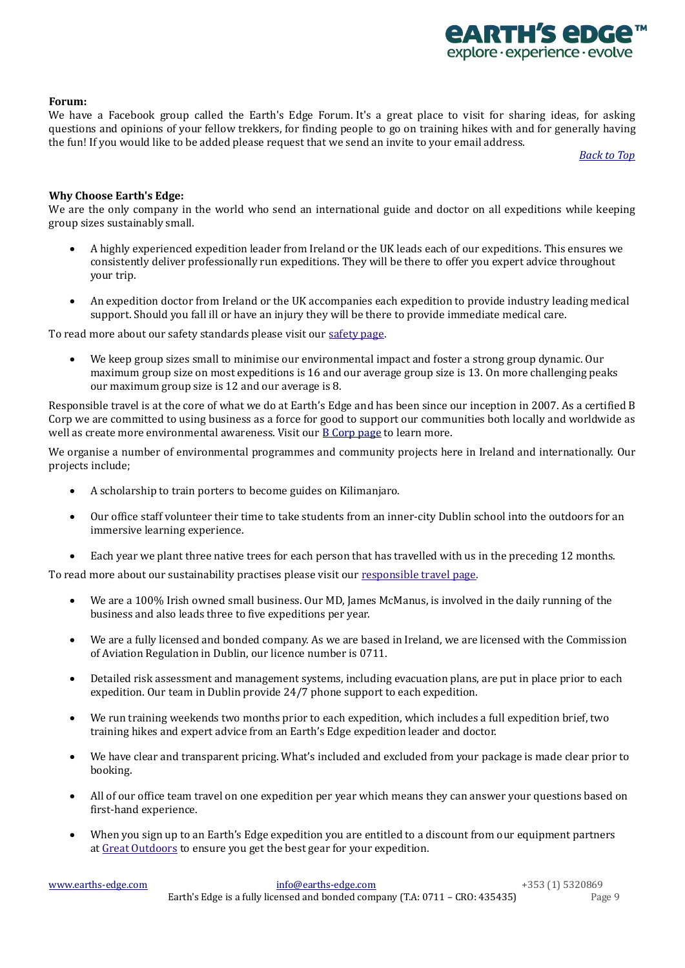

# **Forum:**

We have a Facebook group called the Earth's Edge Forum. It's a great place to visit for sharing ideas, for asking questions and opinions of your fellow trekkers, for finding people to go on training hikes with and for generally having the fun! If you would like to be added please request that we send an invite to your email address.

*[Back to Top](#page-0-3)*

## <span id="page-8-0"></span>**Why Choose Earth's Edge:**

We are the only company in the world who send an international guide and doctor on all expeditions while keeping group sizes sustainably small.

- A highly experienced expedition leader from Ireland or the UK leads each of our expeditions. This ensures we consistently deliver professionally run expeditions. They will be there to offer you expert advice throughout your trip.
- An expedition doctor from Ireland or the UK accompanies each expedition to provide industry leading medical support. Should you fall ill or have an injury they will be there to provide immediate medical care.

To read more about our safety standards please visit our [safety page.](https://www.earths-edge.com/safety/)

• We keep group sizes small to minimise our environmental impact and foster a strong group dynamic. Our maximum group size on most expeditions is 16 and our average group size is 13. On more challenging peaks our maximum group size is 12 and our average is 8.

Responsible travel is at the core of what we do at Earth's Edge and has been since our inception in 2007. As a certified B Corp we are committed to using business as a force for good to support our communities both locally and worldwide as well as create more environmental awareness. Visit our **B** Corp page to learn more.

We organise a number of environmental programmes and community projects here in Ireland and internationally. Our projects include;

- A scholarship to train porters to become guides on Kilimanjaro.
- Our office staff volunteer their time to take students from an inner-city Dublin school into the outdoors for an immersive learning experience.
- Each year we plant three native trees for each person that has travelled with us in the preceding 12 months.

To read more about our sustainability practises please visit our [responsible travel page.](https://www.earths-edge.com/responsible-travel/)

- We are a 100% Irish owned small business. Our MD, James McManus, is involved in the daily running of the business and also leads three to five expeditions per year.
- We are a fully licensed and bonded company. As we are based in Ireland, we are licensed with the Commission of Aviation Regulation in Dublin, our licence number is 0711.
- Detailed risk assessment and management systems, including evacuation plans, are put in place prior to each expedition. Our team in Dublin provide 24/7 phone support to each expedition.
- We run training weekends two months prior to each expedition, which includes a full expedition brief, two training hikes and expert advice from an Earth's Edge expedition leader and doctor.
- We have clear and transparent pricing. What's included and excluded from your package is made clear prior to booking.
- All of our office team travel on one expedition per year which means they can answer your questions based on first-hand experience.
- When you sign up to an Earth's Edge expedition you are entitled to a discount from our equipment partners at [Great Outdoors](https://www.greatoutdoors.ie/) to ensure you get the best gear for your expedition.